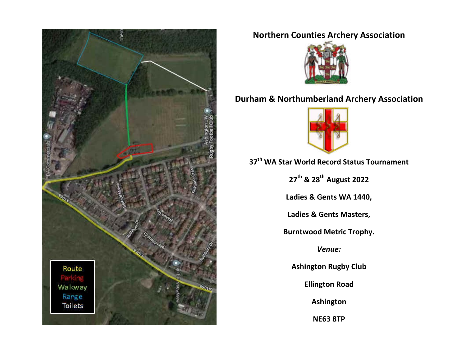

# **Northern Counties Archery Association**



# **Durham & Northumberland Archery Association**



# **37th WA Star World Record Status Tournament**

**27th & 28th August 2022**

**Ladies & Gents WA 1440,**

**Ladies & Gents Masters,**

**Burntwood Metric Trophy.**

*Venue:*

**Ashington Rugby Club**

**Ellington Road**

**Ashington**

**NE63 8TP**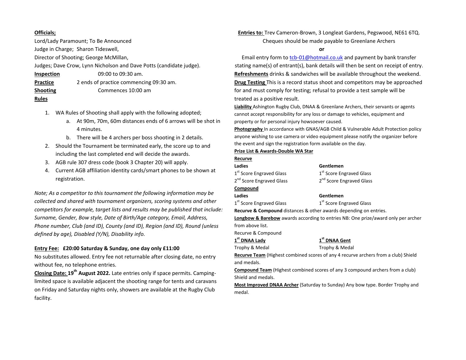### **Officials;**

Lord/Lady Paramount; To Be Announced Judge in Charge; Sharon Tideswell,

Director of Shooting; George McMillan,

Judges; Dave Crow, Lynn Nicholson and Dave Potts (candidate judge).

| <b>Inspection</b> | 09:00 to 09:30 am.                      |
|-------------------|-----------------------------------------|
| Practice          | 2 ends of practice commencing 09:30 am. |
| <b>Shooting</b>   | Commences 10:00 am                      |
| <b>Rules</b>      |                                         |

- 1. WA Rules of Shooting shall apply with the following adopted;
	- a. At 90m, 70m, 60m distances ends of 6 arrows will be shot in 4 minutes.
	- b. There will be 4 archers per boss shooting in 2 details.
- 2. Should the Tournament be terminated early, the score up to and including the last completed end will decide the awards.
- 3. AGB rule 307 dress code (book 3 Chapter 20) will apply.
- 4. Current AGB affiliation identity cards/smart phones to be shown at registration.

*Note; As a competitor to this tournament the following information may be collected and shared with tournament organizers, scoring systems and other competitors for example, target lists and results may be published that include: Surname, Gender, Bow style, Date of Birth/Age category, Email, Address, Phone number, Club (and ID), County (and ID), Region (and ID), Round (unless defined by age), Disabled (Y/N), Disability info.*

### **Entry Fee:****£20:00 Saturday & Sunday, one day only £11:00**

No substitutes allowed. Entry fee not returnable after closing date, no entry without fee, no telephone entries.

**Closing Date: 19th August 2022.** Late entries only if space permits. Campinglimited space is available adjacent the shooting range for tents and caravans on Friday and Saturday nights only, showers are available at the Rugby Club facility.

**Entries to:** Trev Cameron-Brown, 3 Longleat Gardens, Pegswood, NE61 6TQ. Cheques should be made payable to Greenlane Archers

**or**

Email entry form to [tcb-01@hotmail.co.uk](mailto:tcb-01@hotmail.co.uk) and payment by bank transfer stating name(s) of entrant(s), bank details will then be sent on receipt of entry. **Refreshments** drinks & sandwiches will be available throughout the weekend. **Drug Testing** This is a record status shoot and competitors may be approached for and must comply for testing; refusal to provide a test sample will be treated as a positive result.

**Liability** Ashington Rugby Club, DNAA & Greenlane Archers, their servants or agents cannot accept responsibility for any loss or damage to vehicles, equipment and property or for personal injury howsoever caused.

**Photography** In accordance with GNAS/AGB Child & Vulnerable Adult Protection policy anyone wishing to use camera or video equipment please notify the organizer before the event and sign the registration form available on the day.

#### **Prize List & Awards-Double WA Star**

#### **Recurve**

| Ladies                                                            | Gentlemen                            |  |  |  |
|-------------------------------------------------------------------|--------------------------------------|--|--|--|
| 1 <sup>st</sup> Score Engraved Glass                              | 1 <sup>st</sup> Score Engraved Glass |  |  |  |
| 2 <sup>nd</sup> Score Engraved Glass                              | 2 <sup>nd</sup> Score Engraved Glass |  |  |  |
| Compound                                                          |                                      |  |  |  |
| Ladies                                                            | Gentlemen                            |  |  |  |
| 1 <sup>st</sup> Score Engraved Glass                              | 1 <sup>st</sup> Score Engraved Glass |  |  |  |
| Recurve & Compound distances & other awards depending on entries. |                                      |  |  |  |

**Longbow & Barebow** awards according to entries NB: One prize/award only per archer from above list.

Recurve & Compound

### **1st DNAA Lady 1st DNAA Gent**

Trophy & Medal Trophy & Medal

**Recurve Team** (Highest combined scores of any 4 recurve archers from a club) Shield and medals.

**Compound Team** (Highest combined scores of any 3 compound archers from a club) Shield and medals.

**Most Improved DNAA Archer** (Saturday to Sunday) Any bow type. Border Trophy and medal.